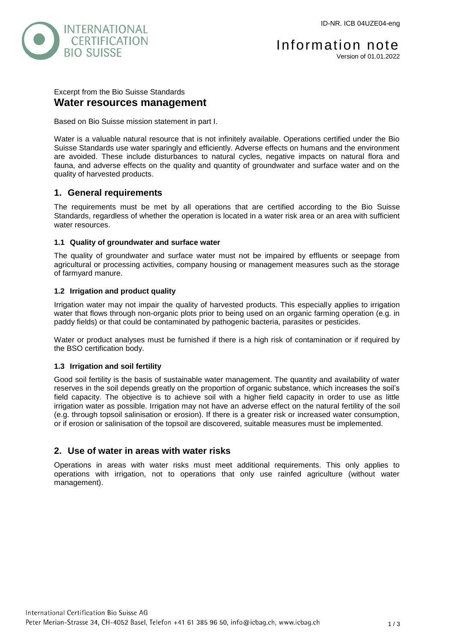

# Excerpt from the Bio Suisse Standards **Water resources management**

Based on Bio Suisse mission statement in part I.

Water is a valuable natural resource that is not infinitely available. Operations certified under the Bio Suisse Standards use water sparingly and efficiently. Adverse effects on humans and the environment are avoided. These include disturbances to natural cycles, negative impacts on natural flora and fauna, and adverse effects on the quality and quantity of groundwater and surface water and on the quality of harvested products.

# **1. General requirements**

The requirements must be met by all operations that are certified according to the Bio Suisse Standards, regardless of whether the operation is located in a water risk area or an area with sufficient water resources.

## **1.1 Quality of groundwater and surface water**

The quality of groundwater and surface water must not be impaired by effluents or seepage from agricultural or processing activities, company housing or management measures such as the storage of farmyard manure.

## **1.2 Irrigation and product quality**

Irrigation water may not impair the quality of harvested products. This especially applies to irrigation water that flows through non-organic plots prior to being used on an organic farming operation (e.g. in paddy fields) or that could be contaminated by pathogenic bacteria, parasites or pesticides.

Water or product analyses must be furnished if there is a high risk of contamination or if required by the BSO certification body.

### **1.3 Irrigation and soil fertility**

Good soil fertility is the basis of sustainable water management. The quantity and availability of water reserves in the soil depends greatly on the proportion of organic substance, which increases the soil's field capacity. The objective is to achieve soil with a higher field capacity in order to use as little irrigation water as possible. Irrigation may not have an adverse effect on the natural fertility of the soil (e.g. through topsoil salinisation or erosion). If there is a greater risk or increased water consumption, or if erosion or salinisation of the topsoil are discovered, suitable measures must be implemented.

# **2. Use of water in areas with water risks**

Operations in areas with water risks must meet additional requirements. This only applies to operations with irrigation, not to operations that only use rainfed agriculture (without water management).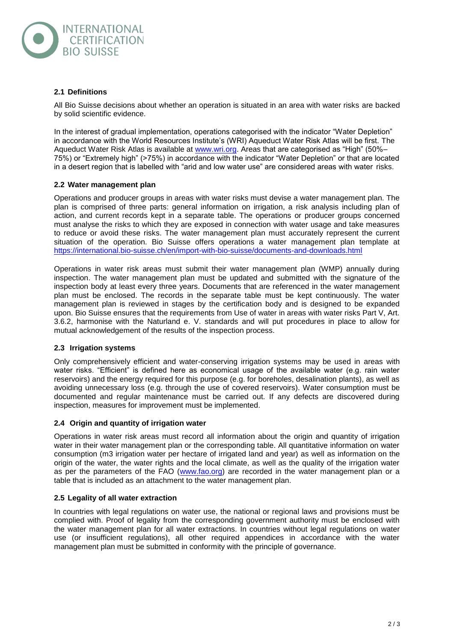

### **2.1 Definitions**

All Bio Suisse decisions about whether an operation is situated in an area with water risks are backed by solid scientific evidence.

In the interest of gradual implementation, operations categorised with the indicator "Water Depletion" in accordance with the World Resources Institute's (WRI) Aqueduct Water Risk Atlas will be first. The Aqueduct Water Risk Atlas is available at [www.wri.org.](http://www.wri.org/) Areas that are categorised as "High" (50%– 75%) or "Extremely high" (>75%) in accordance with the indicator "Water Depletion" or that are located in a desert region that is labelled with "arid and low water use" are considered areas with water risks.

### **2.2 Water management plan**

Operations and producer groups in areas with water risks must devise a water management plan. The plan is comprised of three parts: general information on irrigation, a risk analysis including plan of action, and current records kept in a separate table. The operations or producer groups concerned must analyse the risks to which they are exposed in connection with water usage and take measures to reduce or avoid these risks. The water management plan must accurately represent the current situation of the operation. Bio Suisse offers operations a water management plan template at <https://international.bio-suisse.ch/en/import-with-bio-suisse/documents-and-downloads.html>

Operations in water risk areas must submit their water management plan (WMP) annually during inspection. The water management plan must be updated and submitted with the signature of the inspection body at least every three years. Documents that are referenced in the water management plan must be enclosed. The records in the separate table must be kept continuously. The water management plan is reviewed in stages by the certification body and is designed to be expanded upon. Bio Suisse ensures that the requirements from Use of water in areas with water risks Part V, Art. 3.6.2, harmonise with the Naturland e. V. standards and will put procedures in place to allow for mutual acknowledgement of the results of the inspection process.

#### **2.3 Irrigation systems**

Only comprehensively efficient and water-conserving irrigation systems may be used in areas with water risks. "Efficient" is defined here as economical usage of the available water (e.g. rain water reservoirs) and the energy required for this purpose (e.g. for boreholes, desalination plants), as well as avoiding unnecessary loss (e.g. through the use of covered reservoirs). Water consumption must be documented and regular maintenance must be carried out. If any defects are discovered during inspection, measures for improvement must be implemented.

#### **2.4 Origin and quantity of irrigation water**

Operations in water risk areas must record all information about the origin and quantity of irrigation water in their water management plan or the corresponding table. All quantitative information on water consumption (m3 irrigation water per hectare of irrigated land and year) as well as information on the origin of the water, the water rights and the local climate, as well as the quality of the irrigation water as per the parameters of the FAO [\(www.fao.org\)](http://www.fao.org/) are recorded in the water management plan or a table that is included as an attachment to the water management plan.

### **2.5 Legality of all water extraction**

In countries with legal regulations on water use, the national or regional laws and provisions must be complied with. Proof of legality from the corresponding government authority must be enclosed with the water management plan for all water extractions. In countries without legal regulations on water use (or insufficient regulations), all other required appendices in accordance with the water management plan must be submitted in conformity with the principle of governance.